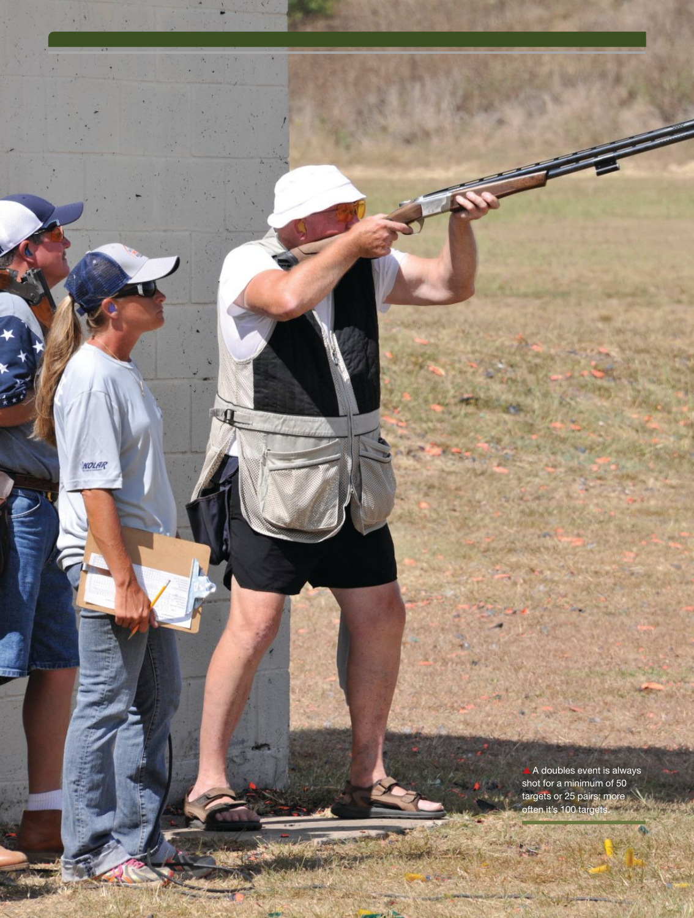$\triangle$  A doubles event is always shot for a minimum of 50 targets or 25 pairs; more often it's 100 targets.

动物

١.

6)

344

KOLAR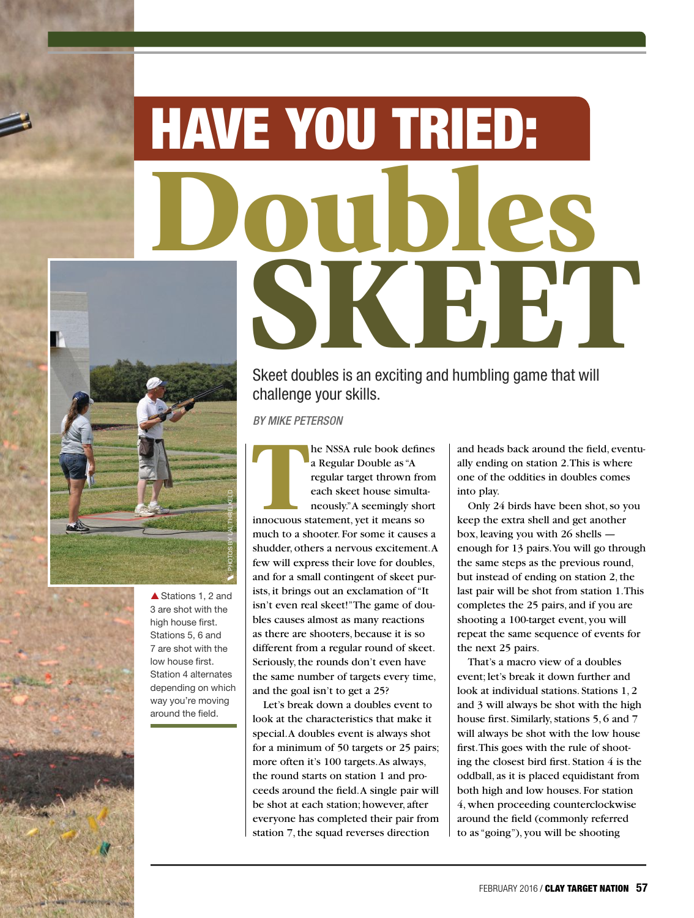## Doubles KHET HAVE YOU TRIED:



▲ Stations 1, 2 and 3 are shot with the high house first. Stations 5, 6 and 7 are shot with the low house first. Station 4 alternates depending on which way you're moving around the field.

Skeet doubles is an exciting and humbling game that will challenge your skills.

BY MIKE PETERSON

BY MIKE PET<br>**The Contract of Street**<br> **The Contract of Street** he NSSA rule book defines a Regular Double as "A regular target thrown from each skeet house simultaneously." A seemingly short innocuous statement, yet it means so much to a shooter. For some it causes a shudder, others a nervous excitement. A few will express their love for doubles, and for a small contingent of skeet purists, it brings out an exclamation of "It isn't even real skeet!" The game of doubles causes almost as many reactions as there are shooters, because it is so different from a regular round of skeet. Seriously, the rounds don't even have the same number of targets every time, and the goal isn't to get a 25?

Let's break down a doubles event to look at the characteristics that make it special. A doubles event is always shot for a minimum of 50 targets or 25 pairs; more often it's 100 targets. As always, the round starts on station 1 and proceeds around the field. A single pair will be shot at each station; however, after everyone has completed their pair from station 7, the squad reverses direction

and heads back around the field, eventually ending on station 2. This is where one of the oddities in doubles comes into play.

Only 24 birds have been shot, so you keep the extra shell and get another box, leaving you with 26 shells enough for 13 pairs. You will go through the same steps as the previous round, but instead of ending on station 2, the last pair will be shot from station 1. This completes the 25 pairs, and if you are shooting a 100-target event, you will repeat the same sequence of events for the next 25 pairs.

That's a macro view of a doubles event; let's break it down further and look at individual stations. Stations 1, 2 and 3 will always be shot with the high house first. Similarly, stations 5, 6 and 7 will always be shot with the low house first. This goes with the rule of shooting the closest bird first. Station 4 is the oddball, as it is placed equidistant from both high and low houses. For station 4, when proceeding counterclockwise around the field (commonly referred to as "going"), you will be shooting